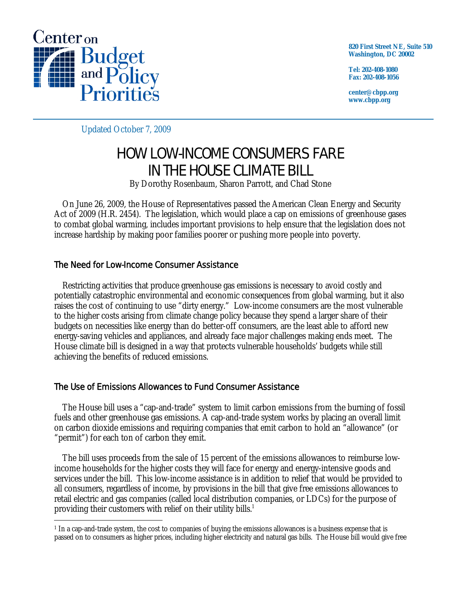

**820 First Street NE, Suite 510 Washington, DC 20002** 

**Tel: 202-408-1080 Fax: 202-408-1056** 

**center@cbpp.org www.cbpp.org** 

Updated October 7, 2009

# HOW LOW-INCOME CONSUMERS FARE IN THE HOUSE CLIMATE BILL

By Dorothy Rosenbaum, Sharon Parrott, and Chad Stone

 On June 26, 2009, the House of Representatives passed the American Clean Energy and Security Act of 2009 (H.R. 2454). The legislation, which would place a cap on emissions of greenhouse gases to combat global warming, includes important provisions to help ensure that the legislation does not increase hardship by making poor families poorer or pushing more people into poverty.

## The Need for Low-Income Consumer Assistance

 Restricting activities that produce greenhouse gas emissions is necessary to avoid costly and potentially catastrophic environmental and economic consequences from global warming, but it also raises the cost of continuing to use "dirty energy." Low-income consumers are the most vulnerable to the higher costs arising from climate change policy because they spend a larger share of their budgets on necessities like energy than do better-off consumers, are the least able to afford new energy-saving vehicles and appliances, and already face major challenges making ends meet. The House climate bill is designed in a way that protects vulnerable households' budgets while still achieving the benefits of reduced emissions.

## The Use of Emissions Allowances to Fund Consumer Assistance

 The House bill uses a "cap-and-trade" system to limit carbon emissions from the burning of fossil fuels and other greenhouse gas emissions. A cap-and-trade system works by placing an overall limit on carbon dioxide emissions and requiring companies that emit carbon to hold an "allowance" (or "permit") for each ton of carbon they emit.

 The bill uses proceeds from the sale of 15 percent of the emissions allowances to reimburse lowincome households for the higher costs they will face for energy and energy-intensive goods and services under the bill. This low-income assistance is in addition to relief that would be provided to all consumers, regardless of income, by provisions in the bill that give free emissions allowances to retail electric and gas companies (called local distribution companies, or LDCs) for the purpose of providing their customers with relief on their utility bills.<sup>1</sup>

 $\overline{a}$ 1 In a cap-and-trade system, the cost to companies of buying the emissions allowances is a business expense that is passed on to consumers as higher prices, including higher electricity and natural gas bills. The House bill would give free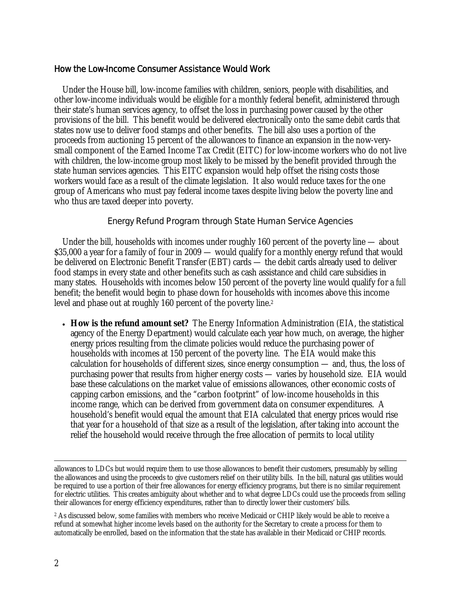#### How the Low-Income Consumer Assistance Would Work

 Under the House bill, low-income families with children, seniors, people with disabilities, and other low-income individuals would be eligible for a monthly federal benefit, administered through their state's human services agency, to offset the loss in purchasing power caused by the other provisions of the bill. This benefit would be delivered electronically onto the same debit cards that states now use to deliver food stamps and other benefits. The bill also uses a portion of the proceeds from auctioning 15 percent of the allowances to finance an expansion in the now-verysmall component of the Earned Income Tax Credit (EITC) for low-income workers who do not live with children, the low-income group most likely to be missed by the benefit provided through the state human services agencies. This EITC expansion would help offset the rising costs those workers would face as a result of the climate legislation. It also would reduce taxes for the one group of Americans who must pay federal income taxes despite living below the poverty line and who thus are taxed deeper into poverty.

#### Energy Refund Program through State Human Service Agencies

 Under the bill, households with incomes under roughly 160 percent of the poverty line — about \$35,000 a year for a family of four in 2009 — would qualify for a monthly energy refund that would be delivered on Electronic Benefit Transfer (EBT) cards — the debit cards already used to deliver food stamps in every state and other benefits such as cash assistance and child care subsidies in many states. Households with incomes below 150 percent of the poverty line would qualify for a *full* benefit; the benefit would begin to phase down for households with incomes above this income level and phase out at roughly 160 percent of the poverty line.<sup>2</sup>

 **How is the refund amount set?** The Energy Information Administration (EIA, the statistical agency of the Energy Department) would calculate each year how much, on average, the higher energy prices resulting from the climate policies would reduce the purchasing power of households with incomes at 150 percent of the poverty line. The EIA would make this calculation for households of different sizes, since energy consumption — and, thus, the loss of purchasing power that results from higher energy costs — varies by household size. EIA would base these calculations on the market value of emissions allowances, other economic costs of capping carbon emissions, and the "carbon footprint" of low-income households in this income range, which can be derived from government data on consumer expenditures. A household's benefit would equal the amount that EIA calculated that energy prices would rise that year for a household of that size as a result of the legislation, after taking into account the relief the household would receive through the free allocation of permits to local utility

allowances to LDCs but would require them to use those allowances to benefit their customers, presumably by selling the allowances and using the proceeds to give customers relief on their utility bills. In the bill, natural gas utilities would be required to use a portion of their free allowances for energy efficiency programs, but there is no similar requirement for electric utilities. This creates ambiguity about whether and to what degree LDCs could use the proceeds from selling their allowances for energy efficiency expenditures, rather than to directly lower their customers' bills.

<sup>&</sup>lt;sup>2</sup> As discussed below, some families with members who receive Medicaid or CHIP likely would be able to receive a refund at somewhat higher income levels based on the authority for the Secretary to create a process for them to automatically be enrolled, based on the information that the state has available in their Medicaid or CHIP records.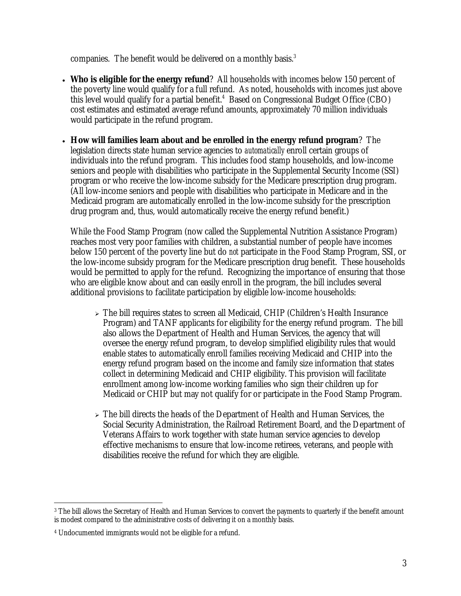companies. The benefit would be delivered on a monthly basis.<sup>3</sup>

- **Who is eligible for the energy refund**? All households with incomes below 150 percent of the poverty line would qualify for a full refund. As noted, households with incomes just above this level would qualify for a partial benefit.<sup>4</sup> Based on Congressional Budget Office (CBO) cost estimates and estimated average refund amounts, approximately 70 million individuals would participate in the refund program.
- **How will families learn about and be enrolled in the energy refund program**? The legislation directs state human service agencies to *automatically* enroll certain groups of individuals into the refund program. This includes food stamp households, and low-income seniors and people with disabilities who participate in the Supplemental Security Income (SSI) program or who receive the low-income subsidy for the Medicare prescription drug program. (All low-income seniors and people with disabilities who participate in Medicare and in the Medicaid program are automatically enrolled in the low-income subsidy for the prescription drug program and, thus, would automatically receive the energy refund benefit.)

While the Food Stamp Program (now called the Supplemental Nutrition Assistance Program) reaches most very poor families with children, a substantial number of people have incomes below 150 percent of the poverty line but do *not* participate in the Food Stamp Program, SSI, or the low-income subsidy program for the Medicare prescription drug benefit. These households would be permitted to apply for the refund. Recognizing the importance of ensuring that those who are eligible know about and can easily enroll in the program, the bill includes several additional provisions to facilitate participation by eligible low-income households:

- $\geq$  The bill requires states to screen all Medicaid, CHIP (Children's Health Insurance Program) and TANF applicants for eligibility for the energy refund program. The bill also allows the Department of Health and Human Services, the agency that will oversee the energy refund program, to develop simplified eligibility rules that would enable states to automatically enroll families receiving Medicaid and CHIP into the energy refund program based on the income and family size information that states collect in determining Medicaid and CHIP eligibility. This provision will facilitate enrollment among low-income working families who sign their children up for Medicaid or CHIP but may not qualify for or participate in the Food Stamp Program.
- $\geq$  The bill directs the heads of the Department of Health and Human Services, the Social Security Administration, the Railroad Retirement Board, and the Department of Veterans Affairs to work together with state human service agencies to develop effective mechanisms to ensure that low-income retirees, veterans, and people with disabilities receive the refund for which they are eligible.

 $\overline{a}$ <sup>3</sup> The bill allows the Secretary of Health and Human Services to convert the payments to quarterly if the benefit amount is modest compared to the administrative costs of delivering it on a monthly basis.

<sup>4</sup> Undocumented immigrants would not be eligible for a refund.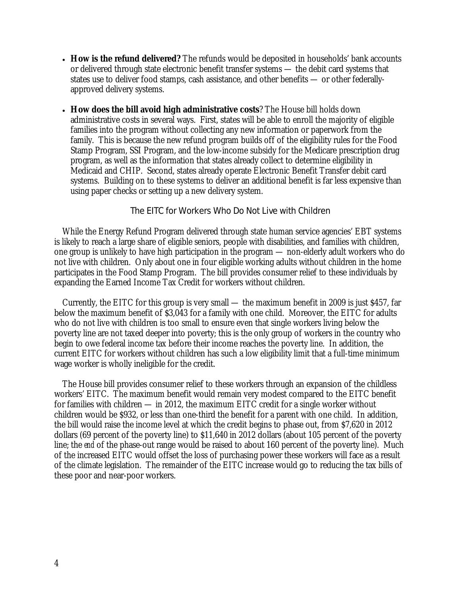- **How is the refund delivered?** The refunds would be deposited in households' bank accounts or delivered through state electronic benefit transfer systems — the debit card systems that states use to deliver food stamps, cash assistance, and other benefits — or other federallyapproved delivery systems.
- **How does the bill avoid high administrative costs**? The House bill holds down administrative costs in several ways. First, states will be able to enroll the majority of eligible families into the program without collecting any new information or paperwork from the family. This is because the new refund program builds off of the eligibility rules for the Food Stamp Program, SSI Program, and the low-income subsidy for the Medicare prescription drug program, as well as the information that states already collect to determine eligibility in Medicaid and CHIP. Second, states already operate Electronic Benefit Transfer debit card systems. Building on to these systems to deliver an additional benefit is far less expensive than using paper checks or setting up a new delivery system.

#### The EITC for Workers Who Do Not Live with Children

 While the Energy Refund Program delivered through state human service agencies' EBT systems is likely to reach a large share of eligible seniors, people with disabilities, and families with children, one group is unlikely to have high participation in the program — non-elderly adult workers who do not live with children. Only about one in four eligible working adults without children in the home participates in the Food Stamp Program. The bill provides consumer relief to these individuals by expanding the Earned Income Tax Credit for workers without children.

 Currently, the EITC for this group is very small — the maximum benefit in 2009 is just \$457, far below the maximum benefit of \$3,043 for a family with one child. Moreover, the EITC for adults who do not live with children is too small to ensure even that single workers living below the poverty line are not taxed deeper into poverty; this is the only group of workers in the country who begin to owe federal income tax before their income reaches the poverty line. In addition, the current EITC for workers without children has such a low eligibility limit that a full-time minimum wage worker is wholly ineligible for the credit.

 The House bill provides consumer relief to these workers through an expansion of the childless workers' EITC. The maximum benefit would remain very modest compared to the EITC benefit for families with children — in 2012, the maximum EITC credit for a single worker without children would be \$932, or less than one-third the benefit for a parent with one child. In addition, the bill would raise the income level at which the credit begins to phase out, from \$7,620 in 2012 dollars (69 percent of the poverty line) to \$11,640 in 2012 dollars (about 105 percent of the poverty line; the *end* of the phase-out range would be raised to about 160 percent of the poverty line). Much of the increased EITC would offset the loss of purchasing power these workers will face as a result of the climate legislation. The remainder of the EITC increase would go to reducing the tax bills of these poor and near-poor workers.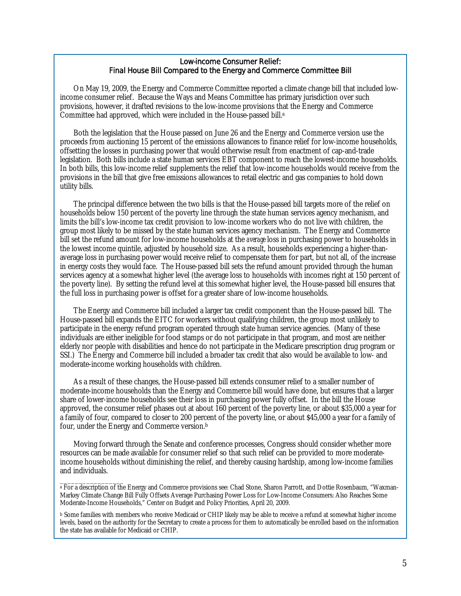#### Low-income Consumer Relief: Final House Bill Compared to the Energy and Commerce Committee Bill

On May 19, 2009, the Energy and Commerce Committee reported a climate change bill that included lowincome consumer relief. Because the Ways and Means Committee has primary jurisdiction over such provisions, however, it drafted revisions to the low-income provisions that the Energy and Commerce Committee had approved, which were included in the House-passed bill.<sup>a</sup>

Both the legislation that the House passed on June 26 and the Energy and Commerce version use the proceeds from auctioning 15 percent of the emissions allowances to finance relief for low-income households, offsetting the losses in purchasing power that would otherwise result from enactment of cap-and-trade legislation. Both bills include a state human services EBT component to reach the lowest-income households. In both bills, this low-income relief supplements the relief that low-income households would receive from the provisions in the bill that give free emissions allowances to retail electric and gas companies to hold down utility bills.

The principal difference between the two bills is that the House-passed bill targets more of the relief on households below 150 percent of the poverty line through the state human services agency mechanism, and limits the bill's low-income tax credit provision to low-income workers who do not live with children, the group most likely to be missed by the state human services agency mechanism. The Energy and Commerce bill set the refund amount for low-income households at the *average* loss in purchasing power to households in the lowest income quintile, adjusted by household size. As a result, households experiencing a higher-thanaverage loss in purchasing power would receive relief to compensate them for part, but not all, of the increase in energy costs they would face. The House-passed bill sets the refund amount provided through the human services agency at a somewhat higher level (the average loss to households with incomes right at 150 percent of the poverty line). By setting the refund level at this somewhat higher level, the House-passed bill ensures that the full loss in purchasing power is offset for a greater share of low-income households.

The Energy and Commerce bill included a larger tax credit component than the House-passed bill. The House-passed bill expands the EITC for workers without qualifying children, the group most unlikely to participate in the energy refund program operated through state human service agencies. (Many of these individuals are either ineligible for food stamps or do not participate in that program, and most are neither elderly nor people with disabilities and hence do not participate in the Medicare prescription drug program or SSI.) The Energy and Commerce bill included a broader tax credit that also would be available to low- and moderate-income working households with children.

As a result of these changes, the House-passed bill extends consumer relief to a smaller number of moderate-income households than the Energy and Commerce bill would have done, but ensures that a larger share of lower-income households see their loss in purchasing power fully offset. In the bill the House approved, the consumer relief phases out at about 160 percent of the poverty line, or about \$35,000 a year for a family of four, compared to closer to 200 percent of the poverty line, or about \$45,000 a year for a family of four, under the Energy and Commerce version.b

Moving forward through the Senate and conference processes, Congress should consider whether more resources can be made available for consumer relief so that such relief can be provided to more moderateincome households without diminishing the relief, and thereby causing hardship, among low-income families and individuals.

 $\overline{\phantom{a}}$  , where the contract of the contract of  $\overline{\phantom{a}}$ a For a description of the Energy and Commerce provisions see: Chad Stone, Sharon Parrott, and Dottie Rosenbaum, "Waxman-Markey Climate Change Bill Fully Offsets Average Purchasing Power Loss for Low-Income Consumers: Also Reaches Some Moderate-Income Households," Center on Budget and Policy Priorities, April 20, 2009.

b Some families with members who receive Medicaid or CHIP likely may be able to receive a refund at somewhat higher income levels, based on the authority for the Secretary to create a process for them to automatically be enrolled based on the information the state has available for Medicaid or CHIP.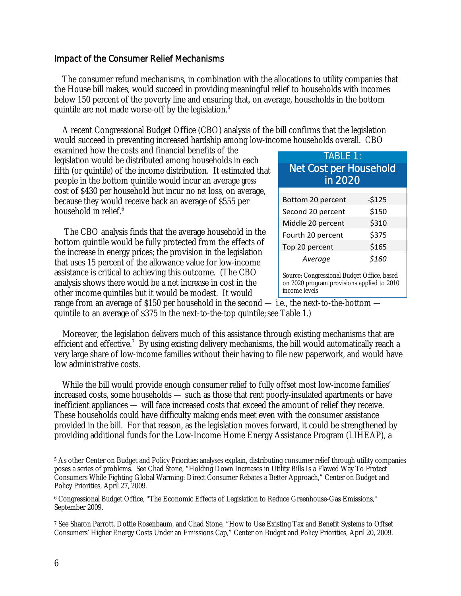### Impact of the Consumer Relief Mechanisms

 The consumer refund mechanisms, in combination with the allocations to utility companies that the House bill makes, would succeed in providing meaningful relief to households with incomes below 150 percent of the poverty line and ensuring that, on average, households in the bottom quintile are not made worse-off by the legislation.<sup>5</sup>

 A recent Congressional Budget Office (CBO) analysis of the bill confirms that the legislation would succeed in preventing increased hardship among low-income households overall. CBO

examined how the costs and financial benefits of the legislation would be distributed among households in each fifth (or quintile) of the income distribution. It estimated that people in the bottom quintile would incur an average *gross*  cost of \$430 per household but incur no *net* loss, on average, because they would receive back an average of \$555 per household in relief.<sup>6</sup>

The CBO analysis finds that the average household in the bottom quintile would be fully protected from the effects of the increase in energy prices; the provision in the legislation that uses 15 percent of the allowance value for low-income assistance is critical to achieving this outcome. (The CBO analysis shows there would be a net increase in cost in the other income quintiles but it would be modest. It would

| <b>TABLE 1:</b><br><b>Net Cost per Household</b><br>in 2020                                               |         |
|-----------------------------------------------------------------------------------------------------------|---------|
| Bottom 20 percent                                                                                         | $-5125$ |
| Second 20 percent                                                                                         | \$150   |
| Middle 20 percent                                                                                         | \$310   |
| Fourth 20 percent                                                                                         | \$375   |
| Top 20 percent                                                                                            | \$165   |
| Average                                                                                                   | \$160   |
| Source: Congressional Budget Office, based<br>on 2020 program provisions applied to 2010<br>income levels |         |

range from an average of \$150 per household in the second — i.e., the next-to-the-bottom quintile to an average of \$375 in the next-to-the-top quintile; see Table 1.)

 Moreover, the legislation delivers much of this assistance through existing mechanisms that are efficient and effective.<sup>7</sup> By using existing delivery mechanisms, the bill would automatically reach a very large share of low-income families without their having to file new paperwork, and would have low administrative costs.

 While the bill would provide enough consumer relief to fully offset most low-income families' increased costs, some households — such as those that rent poorly-insulated apartments or have inefficient appliances — will face increased costs that exceed the amount of relief they receive. These households could have difficulty making ends meet even with the consumer assistance provided in the bill. For that reason, as the legislation moves forward, it could be strengthened by providing additional funds for the Low-Income Home Energy Assistance Program (LIHEAP), a

 $\overline{a}$ 5 As other Center on Budget and Policy Priorities analyses explain, distributing consumer relief through utility companies poses a series of problems. See Chad Stone, "Holding Down Increases in Utility Bills Is a Flawed Way To Protect Consumers While Fighting Global Warming: Direct Consumer Rebates a Better Approach," Center on Budget and Policy Priorities, April 27, 2009.

<sup>6</sup> Congressional Budget Office, "The Economic Effects of Legislation to Reduce Greenhouse-Gas Emissions," September 2009.

<sup>7</sup> See Sharon Parrott, Dottie Rosenbaum, and Chad Stone, "How to Use Existing Tax and Benefit Systems to Offset Consumers' Higher Energy Costs Under an Emissions Cap," Center on Budget and Policy Priorities, April 20, 2009.